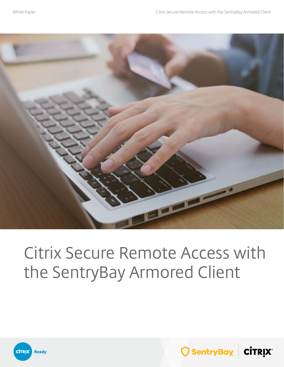

# Citrix Secure Remote Access with the SentryBay Armored Client



 $\bigcirc$  SentryBay  $\big|\mathop{\sf cirrix}\nolimits\big|$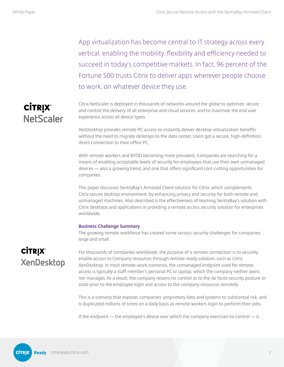App virtualization has become central to IT strategy across every vertical, enabling the mobility, flexibility and efficiency needed to succeed in today's competitive markets. In fact, 96 percent of the Fortune 500 trusts Citrix to deliver apps wherever people choose to work, on whatever device they use.

### **CİTRIX® NetScaler**

Citrix NetScaler is deployed in thousands of networks around the globe to optimize, secure and control the delivery of all enterprise and cloud services, and to maximize the end user experience across all device types.

XenDesktop provides remote PC access to instantly deliver desktop virtualization benefits without the need to migrate desktops to the data center. Users get a secure, high-definition, direct connection to their office PC.

With remote workers and BYOD becoming more prevalent, Companies are searching for a means of enabling acceptable levels of security for employees that use their own unmanaged devices — also a growing trend, and one that offers significant cost-cutting opportunities for companies.

This paper discusses SentryBay's Armored Client solution for Citrix, which complements Citrix secure desktop environment, by enhancing privacy and security for both remote and unmanaged machines. Also described is the effectiveness of teaming SentryBay's solution with Citrix desktops and applications in providing a remote access security solution for enterprises worldwide.

#### **Business Challenge Summary**

The growing remote workforce has created some serious security challenges for companies large and small.

### **CİTRIX®** XenDesktop

For thousands of companies worldwide, the purpose of a remote connection is to securely enable access to Company resources through remote-ready solution, such as Citrix XenDesktop. In most remote-work scenarios, the unmanaged endpoint used for remote access is typically a staff member's personal PC or laptop, which the company neither owns nor manages. As a result, the company retains no control as to the de facto security posture or state prior to the employee login and access to the company resources remotely.

This is a scenario that exposes companies' proprietary data and systems to substantial risk, and is duplicated millions of times on a daily basis as remote workers login to perform their jobs.

If the endpoint — the employee's device over which the company exercises no control — is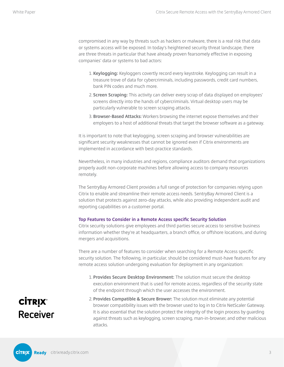compromised in any way by threats such as hackers or malware, there is a real risk that data or systems access will be exposed. In today's heightened security threat landscape, there are three threats in particular that have already proven fearsomely effective in exposing companies' data or systems to bad actors:

- 1. **Keylogging:** Keyloggers covertly record every keystroke. Keylogging can result in a treasure trove of data for cybercriminals, including passwords, credit card numbers, bank PIN codes and much more.
- 2. **Screen Scraping:** This activity can deliver every scrap of data displayed on employees' screens directly into the hands of cybercriminals. Virtual desktop users may be particularly vulnerable to screen scraping attacks.
- 3. **Browser-Based Attacks:** Workers browsing the internet expose themselves and their employers to a host of additional threats that target the browser software as a gateway.

It is important to note that keylogging, screen scraping and browser vulnerabilities are significant security weaknesses that cannot be ignored even if Citrix environments are implemented in accordance with best-practice standards.

Nevertheless, in many industries and regions, compliance auditors demand that organizations properly audit non-corporate machines before allowing access to company resources remotely.

The SentryBay Armored Client provides a full range of protection for companies relying upon Citrix to enable and streamline their remote access needs. SentryBay Armored Client is a solution that protects against zero-day attacks, while also providing independent audit and reporting capabilities on a customer portal.

#### **Top Features to Consider in a Remote Access specific Security Solution**

Citrix security solutions give employees and third parties secure access to sensitive business information whether they're at headquarters, a branch office, or offshore locations, and during mergers and acquisitions.

There are a number of features to consider when searching for a Remote Access specific security solution. The following, in particular, should be considered must-have features for any remote access solution undergoing evaluation for deployment in any organization:

1. **Provides Secure Desktop Environment:** The solution must secure the desktop execution environment that is used for remote access, regardless of the security state of the endpoint through which the user accesses the environment.

## **CİTRIX® Receiver**

2. **Provides Compatible & Secure Brower:** The solution must eliminate any potential browser compatibility issues with the browser used to log in to Citrix NetScaler Gateway. It is also essential that the solution protect the integrity of the login process by guarding against threats such as keylogging, screen scraping, man-in-browser, and other malicious attacks.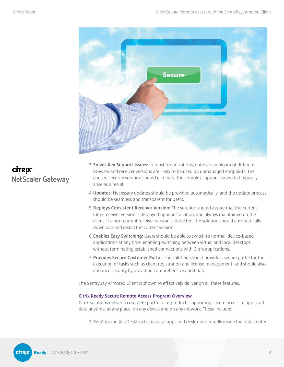

### **CİTRIX®** NetScaler Gateway

- 3. **Solves Key Support Issues:** In most organizations, quite an amalgam of different browser and receiver versions are likely to be used on unmanaged endpoints. The chosen security solution should eliminate the complex support issues that typically arise as a result.
- 4. **Updates:** Necessary updates should be provided automatically, and the update process should be seamless and transparent for users.
- 5. **Deploys Consistent Receiver Version:** The solution should assure that the current Citrix receiver version is deployed upon installation, and always maintained on the client. If a non-current receiver version is detected, the solution should automatically download and install the current version.
- 6. **Enables Easy Switching:** Users should be able to switch to normal, device-based applications at any time, enabling switching between virtual and local desktops without terminating established connections with Citrix applications.
- 7. **Provides Secure Customer Portal:** The solution should provide a secure portal for the execution of tasks such as client registration and license management, and should also enhance security by providing comprehensive audit data.

The SentryBay Armored Client is shown to effectively deliver on all these features.

#### **Citrix Ready Secure Remote Access Program Overview**

Citrix solutions deliver a complete portfolio of products supporting secure access of apps and data anytime, at any place, on any device and on any network. These include:

1. XenApp and XenDesktop to manage apps and desktops centrally inside the data center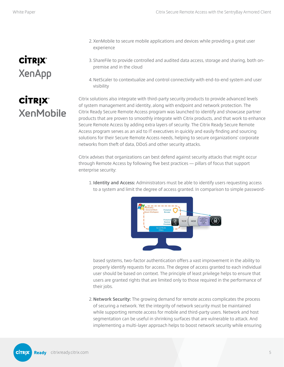# **CİTRIX® XenApp**

**CİTRIX®** 

**XenMobile** 

- 2. XenMobile to secure mobile applications and devices while providing a great user experience
- 3. ShareFile to provide controlled and audited data access, storage and sharing, both onpremise and in the cloud
- 4. NetScaler to contextualize and control connectivity with end-to-end system and user visibility

Citrix solutions also integrate with third-party security products to provide advanced levels of system management and identity, along with endpoint and network protection. The Citrix Ready Secure Remote Access program was launched to identify and showcase partner products that are proven to smoothly integrate with Citrix products, and that work to enhance Secure Remote Access by adding extra layers of security. The Citrix Ready Secure Remote Access program serves as an aid to IT executives in quickly and easily finding and sourcing solutions for their Secure Remote Access needs, helping to secure organizations' corporate networks from theft of data, DDoS and other security attacks.

Citrix advises that organizations can best defend against security attacks that might occur through Remote Access by following five best practices — pillars of focus that support enterprise security:

1. **Identity and Access:** Administrators must be able to identify users requesting access to a system and limit the degree of access granted. In comparison to simple password-



based systems, two-factor authentication offers a vast improvement in the ability to properly identify requests for access. The degree of access granted to each individual user should be based on context. The principle of least privilege helps to ensure that users are granted rights that are limited only to those required in the performance of their jobs.

2. **Network Security:** The growing demand for remote access complicates the process of securing a network. Yet the integrity of network security must be maintained while supporting remote access for mobile and third-party users. Network and host segmentation can be useful in shrinking surfaces that are vulnerable to attack. And implementing a multi-layer approach helps to boost network security while ensuring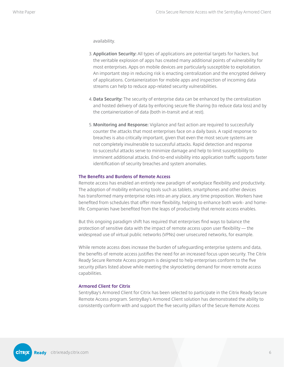availability.

- 3. **Application Security:** All types of applications are potential targets for hackers, but the veritable explosion of apps has created many additional points of vulnerability for most enterprises. Apps on mobile devices are particularly susceptible to exploitation. An important step in reducing risk is enacting centralization and the encrypted delivery of applications. Containerization for mobile apps and inspection of incoming data streams can help to reduce app-related security vulnerabilities.
- 4. **Data Security:** The security of enterprise data can be enhanced by the centralization and hosted delivery of data by enforcing secure file sharing (to reduce data loss) and by the containerization of data (both in-transit and at rest).
- 5. **Monitoring and Response:** Vigilance and fast action are required to successfully counter the attacks that most enterprises face on a daily basis. A rapid response to breaches is also critically important, given that even the most secure systems are not completely invulnerable to successful attacks. Rapid detection and response to successful attacks serve to minimize damage and help to limit susceptibility to imminent additional attacks. End-to-end visibility into application traffic supports faster identification of security breaches and system anomalies.

#### **The Benefits and Burdens of Remote Access**

Remote access has enabled an entirely new paradigm of workplace flexibility and productivity. The adoption of mobility enhancing tools such as tablets, smartphones and other devices has transformed many enterprise roles into an any place, any time proposition. Workers have benefited from schedules that offer more flexibility, helping to enhance both work- and homelife. Companies have benefited from the leaps of productivity that remote access enables.

But this ongoing paradigm shift has required that enterprises find ways to balance the protection of sensitive data with the impact of remote access upon user flexibility — the widespread use of virtual public networks (VPNs) over unsecured networks, for example.

While remote access does increase the burden of safeguarding enterprise systems and data, the benefits of remote access justifies the need for an increased focus upon security. The Citrix Ready Secure Remote Access program is designed to help enterprises conform to the five security pillars listed above while meeting the skyrocketing demand for more remote access capabilities.

#### **Armored Client for Citrix**

SentryBay's Armored Client for Citrix has been selected to participate in the Citrix Ready Secure Remote Access program. SentryBay's Armored Client solution has demonstrated the ability to consistently conform with and support the five security pillars of the Secure Remote Access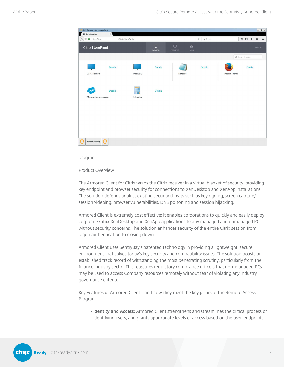| Citrix Receiver - ArmouredClient                          |                               |                       |                      |                          |                 |                    |                            | $ B$ $\times$ |
|-----------------------------------------------------------|-------------------------------|-----------------------|----------------------|--------------------------|-----------------|--------------------|----------------------------|---------------|
| $\times$<br>Citrix Receiver<br>÷                          |                               |                       |                      |                          |                 |                    |                            |               |
| $\blacklozenge$<br>$\circledcirc$ $\bullet$   https://ag. | ./Citrix/StoreWeb/            |                       |                      | Q Search<br>$\mathbf{G}$ |                 | ☆ 自 → 命 三          |                            |               |
| Citrix StoreFront                                         |                               | 口<br><b>FAVORITES</b> | ₽<br><b>DESKTOPS</b> | 88<br><b>APPS</b>        |                 |                    | Test3 $\blacktriangledown$ |               |
|                                                           |                               |                       |                      |                          |                 | Q Search Favorites |                            |               |
| <b>Details</b><br>ᆍ<br>2016_Desktop                       | WINTEST2                      | <b>Details</b>        | Notepad              | <b>Details</b>           | Mozilla Firefox | <b>Details</b>     |                            |               |
| <b>Details</b><br>Microsoft Azure services                | $\theta$<br>रम्<br>Calculator | <b>Details</b>        |                      |                          |                 |                    |                            |               |
|                                                           |                               |                       |                      |                          |                 |                    |                            |               |
| Return To Desktop<br>٠                                    |                               |                       |                      |                          |                 |                    |                            |               |

program.

Product Overview

The Armored Client for Citrix wraps the Citrix receiver in a virtual blanket of security, providing key endpoint and browser security for connections to XenDesktop and XenApp installations. The solution defends against existing security threats such as keylogging, screen capture/ session videoing, browser vulnerabilities, DNS poisoning and session hijacking.

Armored Client is extremely cost effective; it enables corporations to quickly and easily deploy corporate Citrix XenDesktop and XenApp applications to any managed and unmanaged PC without security concerns. The solution enhances security of the entire Citrix session from logon authentication to closing down.

Armored Client uses SentryBay's patented technology in providing a lightweight, secure environment that solves today's key security and compatibility issues. The solution boasts an established track record of withstanding the most penetrating scrutiny, particularly from the finance industry sector. This reassures regulatory compliance officers that non-managed PCs may be used to access Company resources remotely without fear of violating any industry governance criteria.

Key Features of Armored Client – and how they meet the key pillars of the Remote Access Program:

**• Identity and Access:** Armored Client strengthens and streamlines the critical process of identifying users, and grants appropriate levels of access based on the user, endpoint,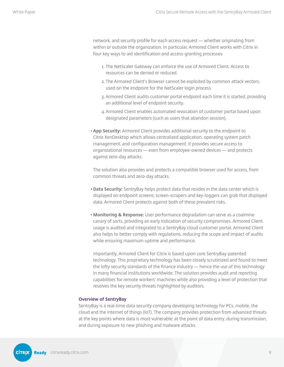network, and security profile for each access request — whether originating from within or outside the organization. In particular, Armored Client works with Citrix in four key ways to aid identification and access-granting processes:

- 1. The NetScaler Gateway can enforce the use of Armored Client. Access to resources can be denied or reduced.
- 2. The Armored Client's Browser cannot be exploited by common attack vectors, used on the endpoint for the NetScaler login process.
- 3. Armored Client audits customer portal endpoint each time it is started, providing an additional level of endpoint security.
- 4. Armored Client enables automated revocation of customer portal based upon designated parameters (such as users that abandon session).
- **• App Security:** Armored Client provides additional security to the endpoint to Citrix XenDesktop which allows centralized application, operating system patch management, and configuration management. It provides secure access to organizational resources — even from employee-owned devices — and protects against zero-day attacks.

The solution also provides and protects a compatible browser used for access, from common threats and zero-day attacks.

- **• Data Security:** SentryBay helps protect data that resides in the data center which is displayed on endpoint screens; screen-scrapers and key-loggers can grab that displayed data. Armored Client protects against both of these prevalent risks..
- **• Monitoring & Response:** User performance degradation can serve as a coalmine canary of sorts, providing an early indication of security compromises. Armored Client usage is audited and integrated to a SentryBay cloud customer portal. Armored Client also helps to better comply with regulations, reducing the scope and impact of audits while ensuring maximum uptime and performance.

Importantly, Armored Client for Citrix is based upon core SentryBay-patented technology. This proprietary technology has been closely scrutinized and found to meet the lofty security standards of the finance industry — hence the use of this technology in many financial institutions worldwide. The solution provides audit and reporting capabilities for remote workers' machines while also providing a level of protection that resolves the key security threats highlighted by auditors.

#### **Overview of SentryBay**

SentryBay is a real-time data security company developing technology for PCs, mobile, the cloud and the internet of things (IoT). The company provides protection from advanced threats at the key points where data is most vulnerable: at the point of data entry, during transmission, and during exposure to new phishing and malware attacks.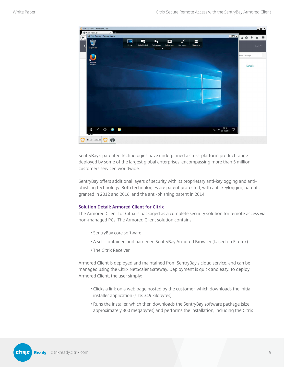

SentryBay's patented technologies have underpinned a cross-platform product range deployed by some of the largest global enterprises, encompassing more than 5 million customers serviced worldwide.

SentryBay offers additional layers of security with its proprietary anti-keylogging and antiphishing technology. Both technologies are patent protected, with anti-keylogging patents granted in 2012 and 2016, and the anti-phishing patent in 2014.

#### **Solution Detail: Armored Client for Citrix**

The Armored Client for Citrix is packaged as a complete security solution for remote access via non-managed PCs. The Armored Client solution contains:

- SentryBay core software
- A self-contained and hardened SentryBay Armored Browser (based on Firefox)
- The Citrix Receiver

Armored Client is deployed and maintained from SentryBay's cloud service, and can be managed using the Citrix NetScaler Gateway. Deployment is quick and easy. To deploy Armored Client, the user simply:

- Clicks a link on a web page hosted by the customer, which downloads the initial installer application (size: 349 kilobytes)
- Runs the Installer, which then downloads the SentryBay software package (size: approximately 300 megabytes) and performs the installation, including the Citrix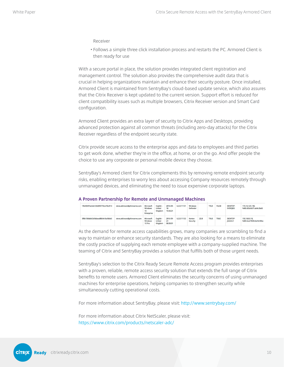Receiver

• Follows a simple three click installation process and restarts the PC. Armored Client is then ready for use

With a secure portal in place, the solution provides integrated client registration and management control. The solution also provides the comprehensive audit data that is crucial in helping organizations maintain and enhance their security posture. Once installed, Armored Client is maintained from SentryBay's cloud-based update service, which also assures that the Citrix Receiver is kept updated to the current version. Support effort is reduced for client compatibility issues such as multiple browsers, Citrix Receiver version and Smart Card configuration.

Armored Client provides an extra layer of security to Citrix Apps and Desktops, providing advanced protection against all common threats (including zero-day attacks) for the Citrix Receiver regardless of the endpoint security state.

Citrix provide secure access to the enterprise apps and data to employees and third parties to get work done, whether they're in the office, at home, or on the go. And offer people the choice to use any corporate or personal mobile device they choose.

SentryBay's Armored client for Citrix complements this by removing remote endpoint security risks, enabling enterprises to worry less about accessing Company resources remotely through unmanaged devices, and eliminating the need to issue expensive corporate laptops.

| 19b43697ecb4e12b06f2772ce1fec914 | steve.atkinson@phireserve.com | Microsoft<br>Windows<br>10<br>Enterprise | English -<br>United<br>Kingdom | 2016-09-<br>18<br>15:42:21 | 6.2.0.11151 | <b>Windows</b><br>Defender |      | <b>TRUE</b> | FALSE       | DESKTOP-<br>EV59OBD        | 172.16.125.130,<br>fe80::83b:6b71:abfe:3bd5 |
|----------------------------------|-------------------------------|------------------------------------------|--------------------------------|----------------------------|-------------|----------------------------|------|-------------|-------------|----------------------------|---------------------------------------------|
| 3f8b10b8a8c3cfddaea88b9e1bcfdbb5 | steve.atkinson@phireserve.com | Microsoft<br><b>Windows</b><br>10 Pro    | English -<br>United<br>Kingdom | 2016-09-<br>24<br>08:30:01 | 6.2.0.11153 | Norton<br>Security         | 22.8 | TRUE        | <b>TRUE</b> | DESKTOP-<br><b>IS2LKU4</b> | 192.168.0.18.<br>fe80::6ca7:f695:6e46:906a  |

#### **A Proven Partnership for Remote and Unmanaged Machines**

As the demand for remote access capabilities grows, many companies are scrambling to find a way to maintain or enhance security standards. They are also looking for a means to eliminate the costly practice of supplying each remote employee with a company-supplied machine. The teaming of Citrix and SentryBay provides a solution that fulfills both of those urgent needs.

SentryBay's selection to the Citrix Ready Secure Remote Access program provides enterprises with a proven, reliable, remote access security solution that extends the full range of Citrix benefits to remote users. Armored Client eliminates the security concerns of using unmanaged machines for enterprise operations, helping companies to strengthen security while simultaneously cutting operational costs.

For more information about SentryBay, please visit: <http://www.sentrybay.com/>

For more information about Citrix NetScaler, please visit: [https://www.citrix.com/products/netscaler-adc/](http://www.sentrybay.com/)